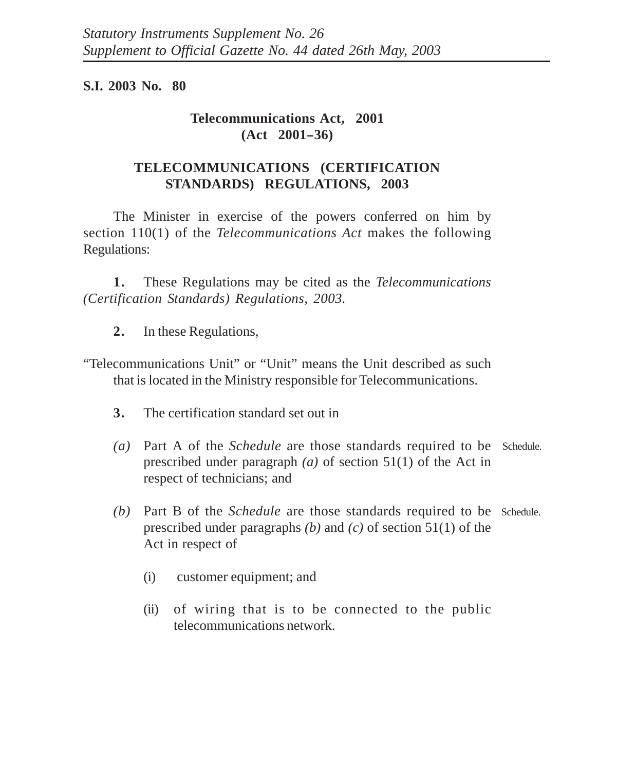## **S.I. 2003 No. 80**

# **Telecommunications Act, 2001 (Act 2001--36)**

# **TELECOMMUNICATIONS (CERTIFICATION STANDARDS) REGULATIONS, 2003**

The Minister in exercise of the powers conferred on him by section 110(1) of the *Telecommunications Act* makes the following Regulations:

**1.** These Regulations may be cited as the *Telecommunications (Certification Standards) Regulations, 2003.*

- **2.** In these Regulations,
- "Telecommunications Unit" or "Unit" means the Unit described as such that is located in the Ministry responsible for Telecommunications.
	- **3.** The certification standard set out in
	- *(a)* Part A of the *Schedule* are those standards required to be Schedule. prescribed under paragraph *(a)* of section 51(1) of the Act in respect of technicians; and
	- *(b)* Part B of the *Schedule* are those standards required to be Schedule.prescribed under paragraphs *(b)* and *(c)* of section 51(1) of the Act in respect of
		- (i) customer equipment; and
		- (ii) of wiring that is to be connected to the public telecommunications network.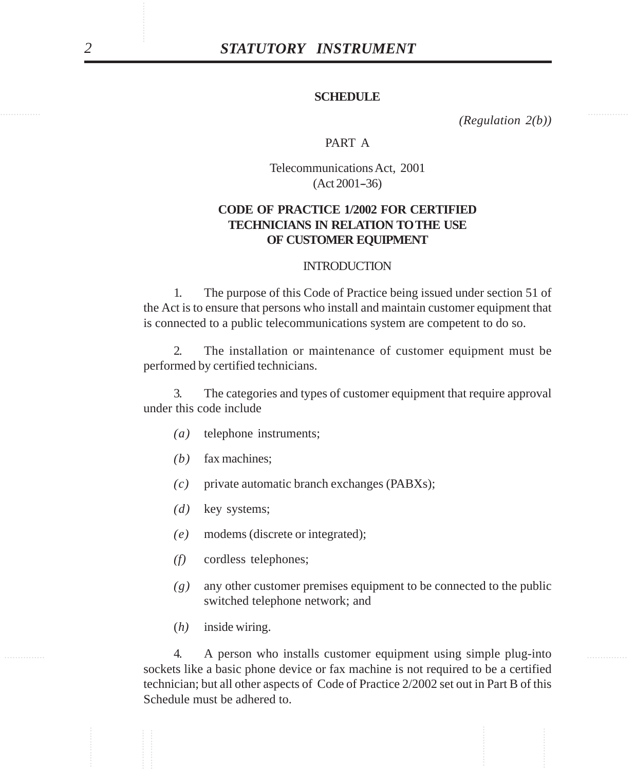#### **SCHEDULE**

............... ............... *(Regulation 2(b))*

### PART A

Telecommunications Act, 2001  $(Act 2001-36)$ 

## **CODE OF PRACTICE 1/2002 FOR CERTIFIED TECHNICIANS IN RELATION TO THE USE OF CUSTOMER EQUIPMENT**

#### **INTRODUCTION**

1. The purpose of this Code of Practice being issued under section 51 of the Act is to ensure that persons who install and maintain customer equipment that is connected to a public telecommunications system are competent to do so.

2. The installation or maintenance of customer equipment must be performed by certified technicians.

3. The categories and types of customer equipment that require approval under this code include

- *(a)* telephone instruments;
- *(b)* fax machines;
- *(c)* private automatic branch exchanges (PABXs);
- *(d)* key systems;
- *(e)* modems (discrete or integrated);
- *(f)* cordless telephones;
- *(g)* any other customer premises equipment to be connected to the public switched telephone network; and
- (*h)* inside wiring.

............... ............... 4. A person who installs customer equipment using simple plug-into **STATUTORY INSTRUMENT**<br>
SCHEDULE<br>
SCHEDULE (Regulation 2th,<br>
PART A<br>
Telecommination 3.4.1.2001)<br>
CODE OF PRACTICE LOBOL FOR CORTENEED<br>
TECHNEARS IN RELATION TOTHE USE<br>
OF CUSTINGENT EVENTIFIED<br>
ITECHNEARS IN RELATION TOT sockets like a basic phone device or fax machine is not required to be a certified technician; but all other aspects of Code of Practice 2/2002 set out in Part B of this Schedule must be adhered to.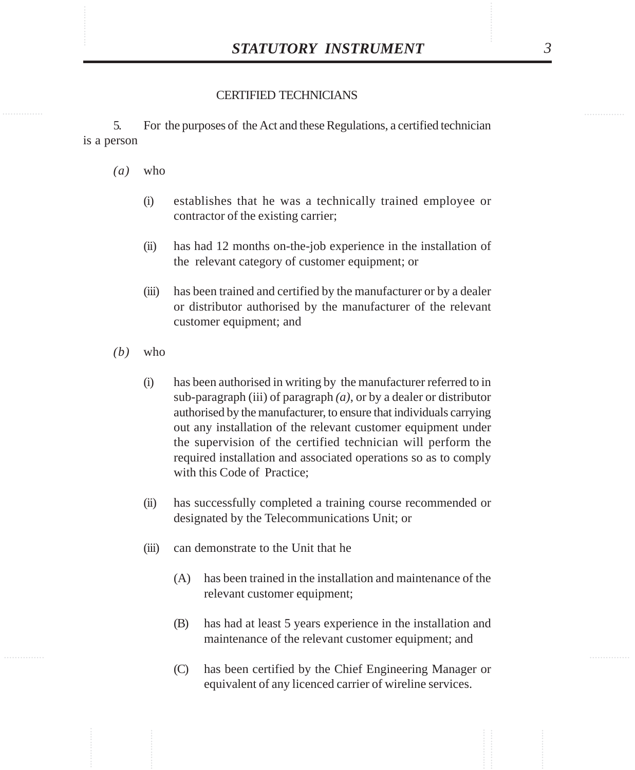#### CERTIFIED TECHNICIANS

5. For the purposes of the Act and these Regulations, a certified technician is a person

- *(a)* who
	- (i) establishes that he was a technically trained employee or contractor of the existing carrier;
	- (ii) has had 12 months on-the-job experience in the installation of the relevant category of customer equipment; or
	- (iii) has been trained and certified by the manufacturer or by a dealer or distributor authorised by the manufacturer of the relevant customer equipment; and
- *(b)* who
	- (i) has been authorised in writing by the manufacturer referred to in sub-paragraph (iii) of paragraph *(a)*, or by a dealer or distributor authorised by the manufacturer, to ensure that individuals carrying out any installation of the relevant customer equipment under the supervision of the certified technician will perform the required installation and associated operations so as to comply with this Code of Practice;
	- (ii) has successfully completed a training course recommended or designated by the Telecommunications Unit; or
	- (iii) can demonstrate to the Unit that he
		- (A) has been trained in the installation and maintenance of the relevant customer equipment;
		- (B) has had at least 5 years experience in the installation and maintenance of the relevant customer equipment; and
		- (C) has been certified by the Chief Engineering Manager or equivalent of any licenced carrier of wireline services.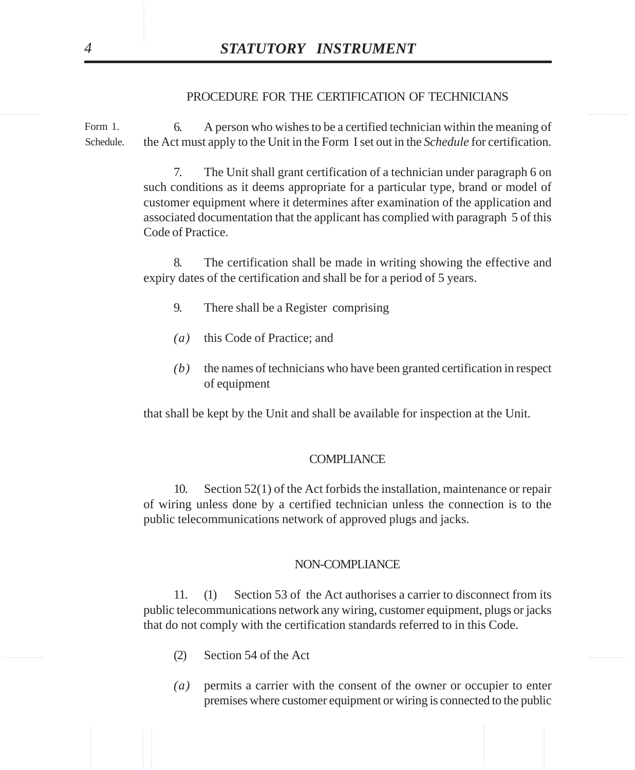#### PROCEDURE FOR THE CERTIFICATION OF TECHNICIANS

6. A person who wishes to be a certified technician within the meaning of the Act must apply to the Unit in the Form I set out in the *Schedule* for certification. Schedule. Form 1.

**STATUTORY INSTRUMENT**<br> **PROCEDURE FOR THE CEKITFICATION OF TECHNICIANS**<br> **CONTRIGURE TOR THE CEKITFICATION OF TECHNICIANS**<br> **CONTRIGURE TO A** A person who wishes to be a certified technician within the meaning and<br> **CON** 7. The Unit shall grant certification of a technician under paragraph 6 on such conditions as it deems appropriate for a particular type, brand or model of customer equipment where it determines after examination of the application and associated documentation that the applicant has complied with paragraph 5 of this Code of Practice.

8. The certification shall be made in writing showing the effective and expiry dates of the certification and shall be for a period of 5 years.

- 9. There shall be a Register comprising
- *(a)* this Code of Practice; and
- *(b)* the names of technicians who have been granted certification in respect of equipment

that shall be kept by the Unit and shall be available for inspection at the Unit.

#### **COMPLIANCE**

10. Section 52(1) of the Act forbids the installation, maintenance or repair of wiring unless done by a certified technician unless the connection is to the public telecommunications network of approved plugs and jacks.

#### NON-COMPLIANCE

11. (1) Section 53 of the Act authorises a carrier to disconnect from its public telecommunications network any wiring, customer equipment, plugs or jacks that do not comply with the certification standards referred to in this Code.

- $(2)$  Section 54 of the Act
	- *(a)* permits a carrier with the consent of the owner or occupier to enter premises where customer equipment or wiring is connected to the public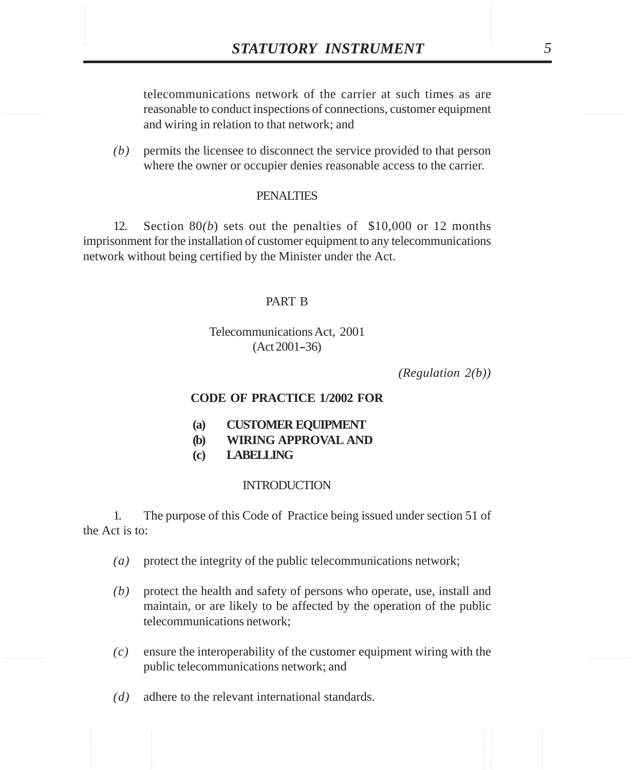**STATUTORY INSTRUMENT** 5<br>telecommunications network of the carrier at such times as are<br>reasonable to conduct inspections of connections, customer equipment telecommunications network of the carrier at such times as are reasonable to conduct inspections of connections, customer equipment and wiring in relation to that network; and

> *(b)* permits the licensee to disconnect the service provided to that person where the owner or occupier denies reasonable access to the carrier.

#### PENALTIES

12. Section 80*(b*) sets out the penalties of \$10,000 or 12 months imprisonment for the installation of customer equipment to any telecommunications network without being certified by the Minister under the Act.

#### PART B

### Telecommunications Act, 2001  $(Act 2001-36)$

*(Regulation 2(b))*

#### **CODE OF PRACTICE 1/2002 FOR**

- **(a) CUSTOMER EQUIPMENT**
- **(b) WIRING APPROVAL AND**
- **(c) LABELLING**

#### INTRODUCTION

## 1. The purpose of this Code of Practice being issued under section 51 of the Act is to:

- *(a)* protect the integrity of the public telecommunications network;
- *(b)* protect the health and safety of persons who operate, use, install and maintain, or are likely to be affected by the operation of the public telecommunications network;
- *(c)* ensure the interoperability of the customer equipment wiring with the public telecommunications network; and
- *(d)* adhere to the relevant international standards.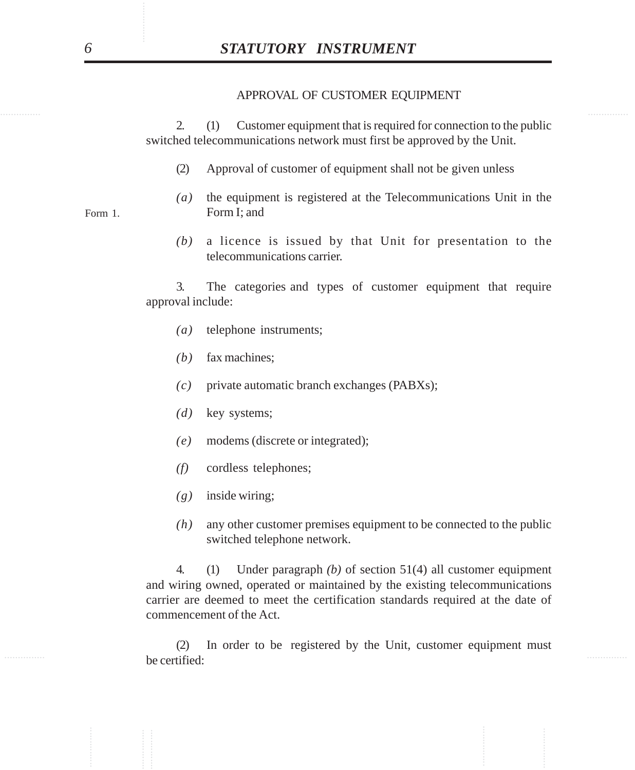#### APPROVAL OF CUSTOMER EQUIPMENT

2. (1) Customer equipment that is required for connection to the public switched telecommunications network must first be approved by the Unit.

- (2) Approval of customer of equipment shall not be given unless
- *(a)* the equipment is registered at the Telecommunications Unit in the Form I; and
- *(b)* a licence is issued by that Unit for presentation to the telecommunications carrier.

3. The categories and types of customer equipment that require approval include:

- *(a)* telephone instruments;
- *(b)* fax machines;
- *(c)* private automatic branch exchanges (PABXs);
- *(d)* key systems;
- *(e)* modems (discrete or integrated);
- *(f)* cordless telephones;
- *(g)* inside wiring;
- *(h)* any other customer premises equipment to be connected to the public switched telephone network.

**STATUTORY INSTRUMENT**<br>
APPROVAL OF CUSTOMER EQUIPMENT<br>  $\triangle$  (1) Customer equipment that is required for connection to the publis<br>
switched telecommunications retrovar must first be approved by the Unit.<br>
(2) Approval of 4. (1) Under paragraph *(b)* of section 51(4) all customer equipment and wiring owned, operated or maintained by the existing telecommunications carrier are deemed to meet the certification standards required at the date of commencement of the Act.

 $\mathbf{h}_{\mathbf{0}}$  and  $\mathbf{h}_{\mathbf{0}}$  and  $\mathbf{h}_{\mathbf{0}}$  and  $\mathbf{h}_{\mathbf{0}}$  and  $\mathbf{h}_{\mathbf{0}}$  and  $\mathbf{h}_{\mathbf{0}}$  and  $\mathbf{h}_{\mathbf{0}}$  and  $\mathbf{h}_{\mathbf{0}}$  and  $\mathbf{h}_{\mathbf{0}}$  and  $\mathbf{h}_{\mathbf{0}}$  and  $\mathbf{h}_{\mathbf{0}}$  and  $\mathbf{h}_{\mathbf{0$ (2) In order to be registered by the Unit, customer equipment must be certified:

Form 1.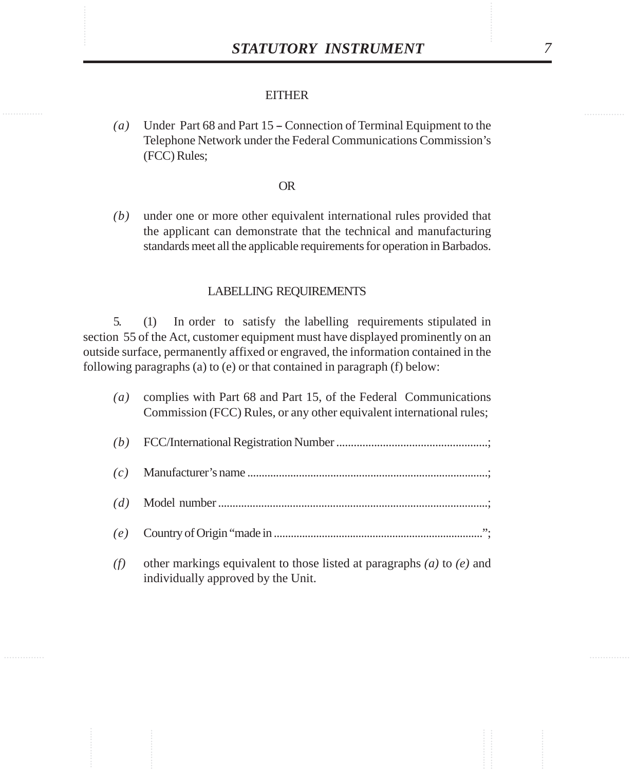#### **EITHER**

*(a)* Under Part 68 and Part 15 – Connection of Terminal Equipment to the Telephone Network under the Federal Communications Commission's (FCC) Rules;

#### OR

*(b)* under one or more other equivalent international rules provided that the applicant can demonstrate that the technical and manufacturing standards meet all the applicable requirements for operation in Barbados.

## LABELLING REQUIREMENTS

5. (1) In order to satisfy the labelling requirements stipulated in section 55 of the Act, customer equipment must have displayed prominently on an outside surface, permanently affixed or engraved, the information contained in the following paragraphs (a) to (e) or that contained in paragraph (f) below:

| (a) | complies with Part 68 and Part 15, of the Federal Communications<br>Commission (FCC) Rules, or any other equivalent international rules; |
|-----|------------------------------------------------------------------------------------------------------------------------------------------|
| (b) |                                                                                                                                          |
| (c) |                                                                                                                                          |
| (d) |                                                                                                                                          |
| (e) |                                                                                                                                          |
| (f) | other markings equivalent to those listed at paragraphs (a) to (e) and<br>individually approved by the Unit.                             |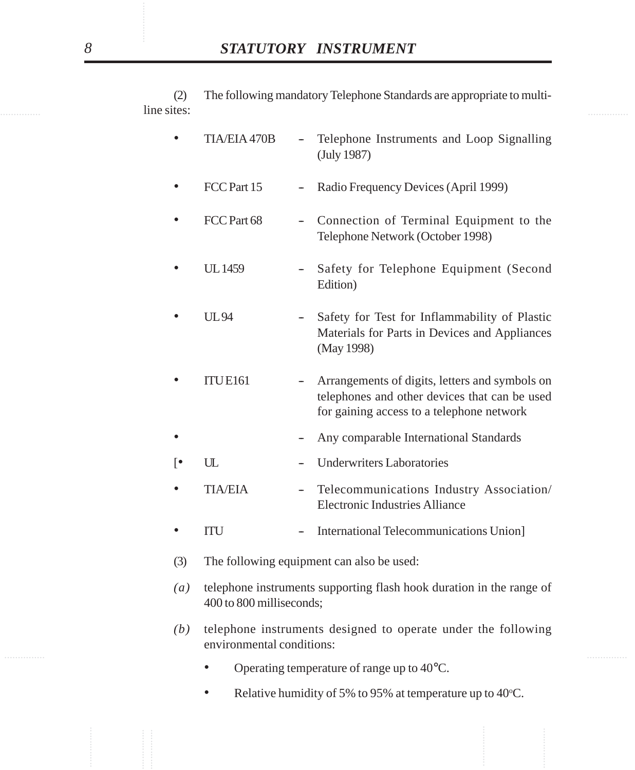**Example 2** intervals and the sites: (2) The following mandatory Telephone Standards are appropriate to multiline sites:

|                    |                                                                                                                                                                                                                                                                                           |                   | STATUTORY INSTRUMENT                                                                                                                         |
|--------------------|-------------------------------------------------------------------------------------------------------------------------------------------------------------------------------------------------------------------------------------------------------------------------------------------|-------------------|----------------------------------------------------------------------------------------------------------------------------------------------|
| (2)<br>line sites: |                                                                                                                                                                                                                                                                                           |                   | The following mandatory Telephone Standards are appropriate to multi-                                                                        |
|                    | <b>TIA/EIA 470B</b>                                                                                                                                                                                                                                                                       |                   | Telephone Instruments and Loop Signalling<br>(July 1987)                                                                                     |
|                    | FCC Part 15                                                                                                                                                                                                                                                                               | $\qquad \qquad -$ | Radio Frequency Devices (April 1999)                                                                                                         |
|                    | FCC Part 68                                                                                                                                                                                                                                                                               |                   | Connection of Terminal Equipment to the<br>Telephone Network (October 1998)                                                                  |
| ٠                  | <b>UL1459</b>                                                                                                                                                                                                                                                                             |                   | Safety for Telephone Equipment (Second<br>Edition)                                                                                           |
|                    | <b>UL94</b>                                                                                                                                                                                                                                                                               |                   | Safety for Test for Inflammability of Plastic<br>Materials for Parts in Devices and Appliances<br>(May 1998)                                 |
|                    | <b>ITUE161</b>                                                                                                                                                                                                                                                                            |                   | Arrangements of digits, letters and symbols on<br>telephones and other devices that can be used<br>for gaining access to a telephone network |
|                    |                                                                                                                                                                                                                                                                                           |                   | Any comparable International Standards                                                                                                       |
| ⊺∙                 | UL                                                                                                                                                                                                                                                                                        |                   | <b>Underwriters Laboratories</b>                                                                                                             |
|                    | <b>TIA/EIA</b>                                                                                                                                                                                                                                                                            | $\qquad \qquad -$ | Telecommunications Industry Association/<br><b>Electronic Industries Alliance</b>                                                            |
|                    | ITU                                                                                                                                                                                                                                                                                       |                   | International Telecommunications Union]                                                                                                      |
| (3)                | The following equipment can also be used:<br>telephone instruments supporting flash hook duration in the range of<br>400 to 800 milliseconds;<br>telephone instruments designed to operate under the following<br>environmental conditions:<br>Operating temperature of range up to 40°C. |                   |                                                                                                                                              |
| $\left( a\right)$  |                                                                                                                                                                                                                                                                                           |                   |                                                                                                                                              |
| (b)                |                                                                                                                                                                                                                                                                                           |                   |                                                                                                                                              |
|                    |                                                                                                                                                                                                                                                                                           |                   |                                                                                                                                              |
|                    |                                                                                                                                                                                                                                                                                           |                   | Relative humidity of 5% to 95% at temperature up to 40°C.                                                                                    |
|                    |                                                                                                                                                                                                                                                                                           |                   |                                                                                                                                              |

- Operating temperature of range up to 40°C.
- Relative humidity of 5% to 95% at temperature up to 40°C.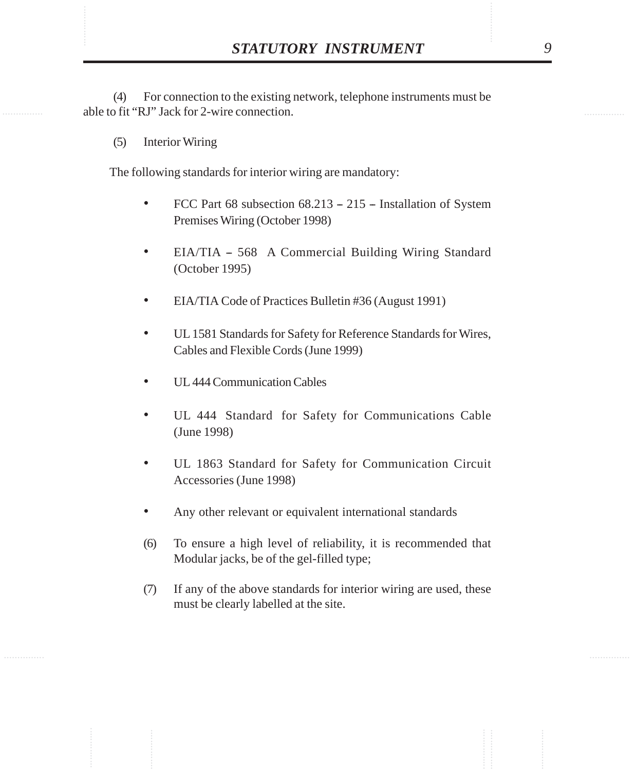**STATUTORY INSTRUMENT** 9<br>(4) For connection to the existing network, telephone instruments must be able to fit "RJ" Jack for 2-wire connection. (4) For connection to the existing network, telephone instruments must be able to fit "RJ" Jack for 2-wire connection.

(5) Interior Wiring

The following standards for interior wiring are mandatory:

- FCC Part 68 subsection  $68.213 215$  Installation of System Premises Wiring (October 1998)
- EIA/TIA 568 A Commercial Building Wiring Standard (October 1995)
- EIA/TIA Code of Practices Bulletin #36 (August 1991)
- UL 1581 Standards for Safety for Reference Standards for Wires, Cables and Flexible Cords (June 1999)
- UL 444 Communication Cables
- UL 444 Standard for Safety for Communications Cable (June 1998)
- UL 1863 Standard for Safety for Communication Circuit Accessories (June 1998)
- Any other relevant or equivalent international standards
- (6) To ensure a high level of reliability, it is recommended that Modular jacks, be of the gel-filled type;
- (7) If any of the above standards for interior wiring are used, these must be clearly labelled at the site.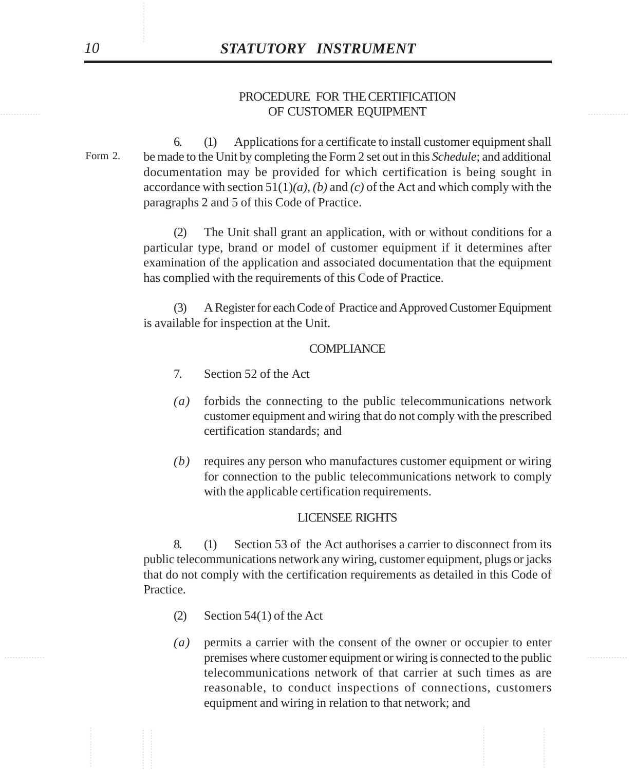## **OF CUSTOMER EQUIPMENT STATES AND ALL ASSESSED ASSOCIATES** PROCEDURE FOR THE CERTIFICATION

**STATUTORY INSTRUMENT**<br>
PROCEDURE FOR THE CERUTIFICATION<br>
OF CUSTOMER EQUIPMENT<br>
CAL (1) Applications for a certainties to install estatement equipmental share<br>
commentation in the provided of the validation and the seco 6. (1) Applications for a certificate to install customer equipment shall be made to the Unit by completing the Form 2 set out in this *Schedule*; and additional documentation may be provided for which certification is being sought in accordance with section 51(1)*(a)*, *(b)* and *(c)* of the Act and which comply with the paragraphs 2 and 5 of this Code of Practice. Form 2.

(2) The Unit shall grant an application, with or without conditions for a particular type, brand or model of customer equipment if it determines after examination of the application and associated documentation that the equipment has complied with the requirements of this Code of Practice.

(3) A Register for each Code of Practice and Approved Customer Equipment is available for inspection at the Unit.

#### **COMPLIANCE**

- 7. Section 52 of the Act
- *(a)* forbids the connecting to the public telecommunications network customer equipment and wiring that do not comply with the prescribed certification standards; and
- *(b)* requires any person who manufactures customer equipment or wiring for connection to the public telecommunications network to comply with the applicable certification requirements.

#### LICENSEE RIGHTS

8. (1) Section 53 of the Act authorises a carrier to disconnect from its public telecommunications network any wiring, customer equipment, plugs or jacks that do not comply with the certification requirements as detailed in this Code of Practice.

- (2) Section 54(1) of the Act
- ............... ............... premises where customer equipment or wiring is connected to the public *(a)* permits a carrier with the consent of the owner or occupier to enter telecommunications network of that carrier at such times as are reasonable, to conduct inspections of connections, customers equipment and wiring in relation to that network; and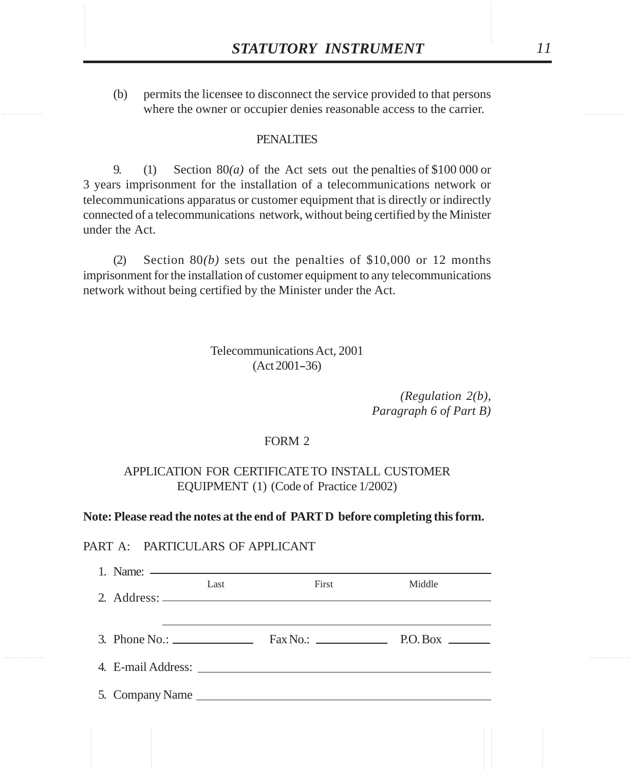**STATUTORY INSTRUMENT** 11<br>(b) permits the licensee to disconnect the service provided to that persons<br>where the owner or occupier denies reasonable access to the carrier. (b) permits the licensee to disconnect the service provided to that persons where the owner or occupier denies reasonable access to the carrier.

## **PENALTIES**

9. (1) Section  $80(a)$  of the Act sets out the penalties of \$100 000 or 3 years imprisonment for the installation of a telecommunications network or telecommunications apparatus or customer equipment that is directly or indirectly connected of a telecommunications network, without being certified by the Minister under the Act.

(2) Section 80*(b)* sets out the penalties of \$10,000 or 12 months imprisonment for the installation of customer equipment to any telecommunications network without being certified by the Minister under the Act.

### Telecommunications Act, 2001  $(Act 2001-36)$

*(Regulation 2(b), Paragraph 6 of Part B)*

#### FORM 2

## APPLICATION FOR CERTIFICATE TO INSTALL CUSTOMER EQUIPMENT (1) (Code of Practice 1/2002)

#### **Note: Please read the notes at the end of PART D before completing this form.**

#### PART A: PARTICULARS OF APPLICANT

|  | Last | <b>First</b>                                                                    | Middle |
|--|------|---------------------------------------------------------------------------------|--------|
|  |      |                                                                                 |        |
|  |      |                                                                                 |        |
|  |      |                                                                                 |        |
|  |      | 3. Phone No.: $\qquad \qquad$ Fax No.: $\qquad \qquad$ P.O. Box $\qquad \qquad$ |        |
|  |      |                                                                                 |        |
|  |      |                                                                                 |        |
|  |      |                                                                                 |        |
|  |      |                                                                                 |        |
|  |      |                                                                                 |        |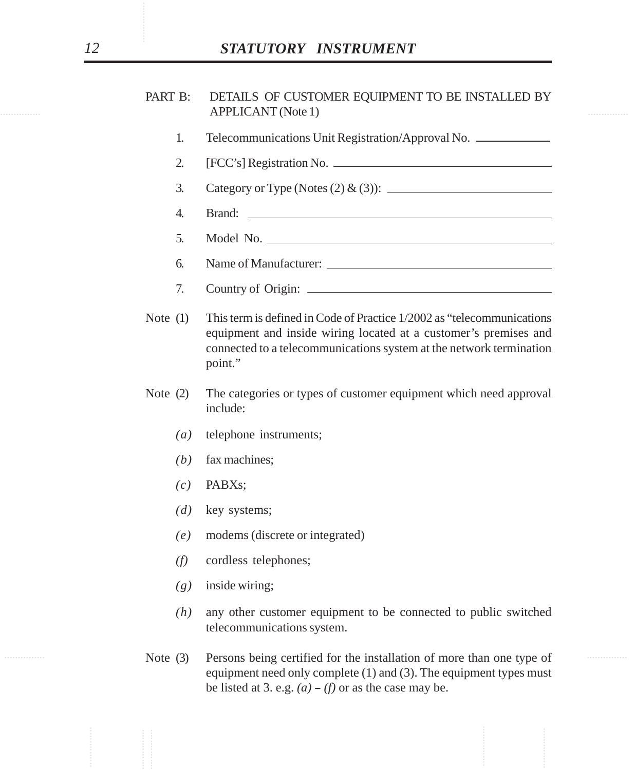# *12 STATUTORY INSTRUMENT*

## ............... ............... APPLICANT (Note 1) PART B: DETAILS OF CUSTOMER EQUIPMENT TO BE INSTALLED BY

- 1. Telecommunications Unit Registration/Approval No.
- 2. [FCC's] Registration No.
- 3. Category or Type (Notes (2) & (3)):
- 4. Brand:
- 5. Model No.
- 6. Name of Manufacturer:
- 7. Country of Origin:
- 2. **STATUTORY INSTRUMENT**<br>
PART B: DETAILS OF CUSTOMER EQUITMENT TO BE INSTALLED BY<br>
APPLICANT (Note 1)<br>
1. Telecommunications Unit Registration/Approval No. \_<br>
2. [PCC/3] Registration No. \_<br>
2. Category or Type (Notes ( Note (1) This term is defined in Code of Practice 1/2002 as "telecommunications equipment and inside wiring located at a customer's premises and connected to a telecommunications system at the network termination point."
	- Note (2) The categories or types of customer equipment which need approval include:
		- *(a)* telephone instruments;
		- *(b)* fax machines;
		- *(c)* PABXs;
		- *(d)* key systems;
		- *(e)* modems (discrete or integrated)
		- *(f)* cordless telephones;
		- *(g)* inside wiring;
		- *(h)* any other customer equipment to be connected to public switched telecommunications system.
- ............... ............... Note (3) Persons being certified for the installation of more than one type of equipment need only complete (1) and (3). The equipment types must be listed at 3. e.g.  $(a) - (f)$  or as the case may be.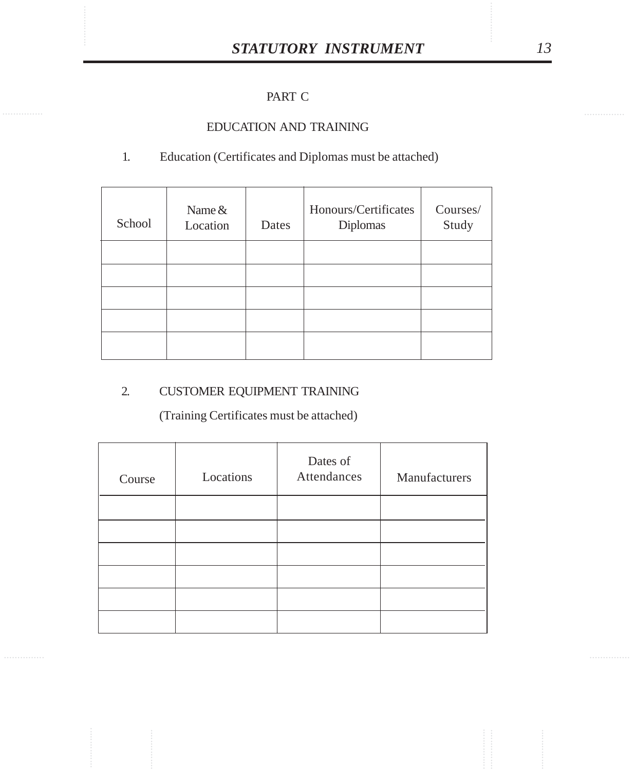# PART C

## EDUCATION AND TRAINING

## 1. Education (Certificates and Diplomas must be attached)

| School | Name $&$<br>Location | Dates | Honours/Certificates<br>Diplomas | Courses/<br>Study |
|--------|----------------------|-------|----------------------------------|-------------------|
|        |                      |       |                                  |                   |
|        |                      |       |                                  |                   |
|        |                      |       |                                  |                   |
|        |                      |       |                                  |                   |
|        |                      |       |                                  |                   |

# 2. CUSTOMER EQUIPMENT TRAINING

(Training Certificates must be attached)

| Course | Locations | Dates of<br>Attendances | Manufacturers |
|--------|-----------|-------------------------|---------------|
|        |           |                         |               |
|        |           |                         |               |
|        |           |                         |               |
|        |           |                         |               |
|        |           |                         |               |
|        |           |                         |               |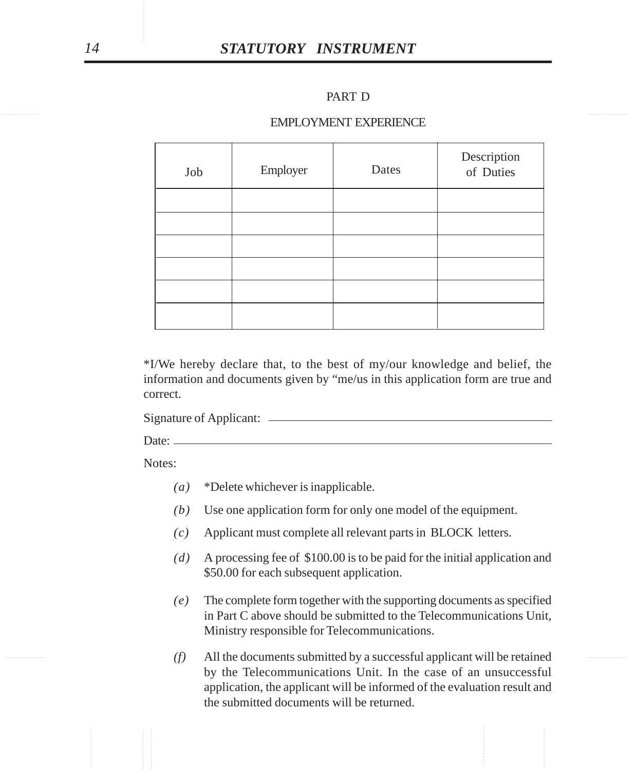## PART D

#### EMPLOYMENT EXPERIENCE

|        |                                          | PART D                                                                                                                                                                                    |                          |
|--------|------------------------------------------|-------------------------------------------------------------------------------------------------------------------------------------------------------------------------------------------|--------------------------|
|        |                                          | <b>EMPLOYMENT EXPERIENCE</b>                                                                                                                                                              |                          |
| Job    | Employer                                 | Dates                                                                                                                                                                                     | Description<br>of Duties |
|        |                                          |                                                                                                                                                                                           |                          |
|        |                                          |                                                                                                                                                                                           |                          |
|        |                                          |                                                                                                                                                                                           |                          |
|        |                                          |                                                                                                                                                                                           |                          |
|        |                                          |                                                                                                                                                                                           |                          |
| Notes: | Date: $\frac{1}{2}$                      |                                                                                                                                                                                           |                          |
| (a)    | *Delete whichever is inapplicable.       |                                                                                                                                                                                           |                          |
| (b)    |                                          | Use one application form for only one model of the equipment.                                                                                                                             |                          |
|        |                                          | Applicant must complete all relevant parts in BLOCK letters.                                                                                                                              |                          |
| (c)    |                                          |                                                                                                                                                                                           |                          |
| (d)    | \$50.00 for each subsequent application. | A processing fee of \$100.00 is to be paid for the initial application an                                                                                                                 |                          |
| (e)    |                                          | The complete form together with the supporting documents as specifie<br>in Part C above should be submitted to the Telecommunications Uni<br>Ministry responsible for Telecommunications. |                          |

- *(a)* \*Delete whichever is inapplicable.
- *(b)* Use one application form for only one model of the equipment.
- *(c)* Applicant must complete all relevant parts in BLOCK letters.
- *(d)* A processing fee of \$100.00 is to be paid for the initial application and \$50.00 for each subsequent application.
- *(e)* The complete form together with the supporting documents as specified in Part C above should be submitted to the Telecommunications Unit, Ministry responsible for Telecommunications.
- ............... ............... *(f)* All the documents submitted by a successful applicant will be retained by the Telecommunications Unit. In the case of an unsuccessful application, the applicant will be informed of the evaluation result and the submitted documents will be returned.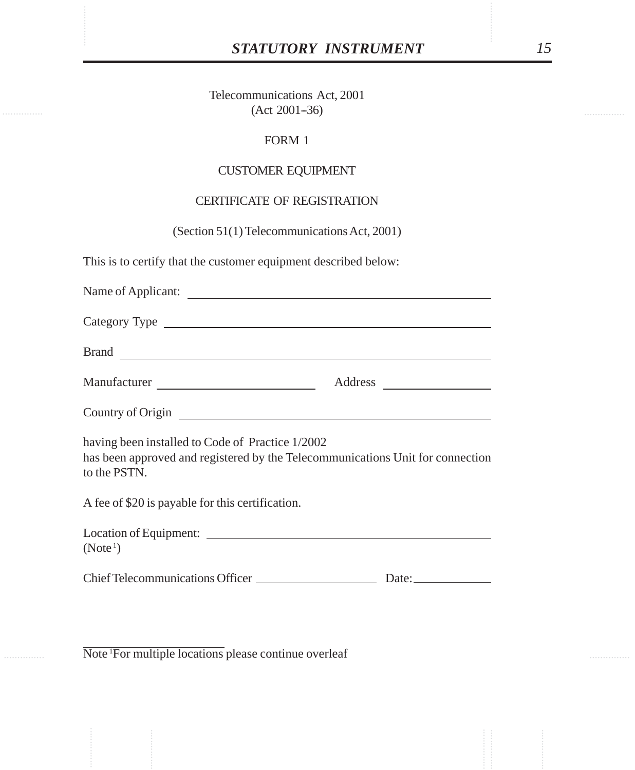# *STATUTORY INSTRUMENT 15*

STATUTORY INSTRUMENT<br>Telecommunications Act, 2001<br>(Act 2001–36) Telecommunications Act, 2001  $(Act 2001-36)$ 

## FORM 1

## CUSTOMER EQUIPMENT

# CERTIFICATE OF REGISTRATION

(Section 51(1) Telecommunications Act, 2001)

This is to certify that the customer equipment described below:

| Manufacturer                                                                                                                                       |  |  |  |  |
|----------------------------------------------------------------------------------------------------------------------------------------------------|--|--|--|--|
|                                                                                                                                                    |  |  |  |  |
| having been installed to Code of Practice 1/2002<br>has been approved and registered by the Telecommunications Unit for connection<br>to the PSTN. |  |  |  |  |
| A fee of \$20 is payable for this certification.                                                                                                   |  |  |  |  |
| (Note <sup>1</sup> )                                                                                                                               |  |  |  |  |
|                                                                                                                                                    |  |  |  |  |

Note 1For multiple locations please continue overleaf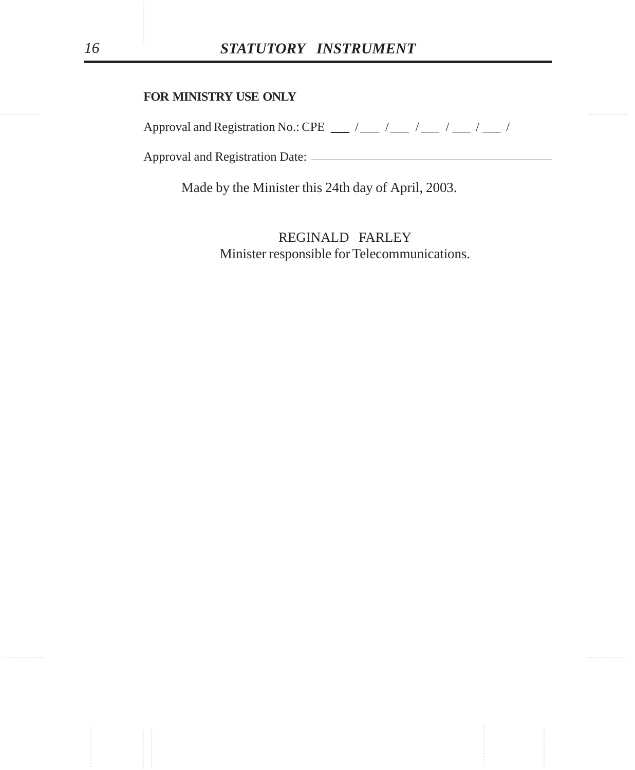## **FOR MINISTRY USE ONLY**

Approval and Registration No.: CPE  $\frac{1}{2}$  / $\frac{1}{2}$  / $\frac{1}{2}$  / $\frac{1}{2}$  / $\frac{1}{2}$  /

Approval and Registration Date:

Made by the Minister this 24th day of April, 2003.

............... ............... ............... ............... ............... ............... REGINALD FARLEY Minister responsible for Telecommunications.